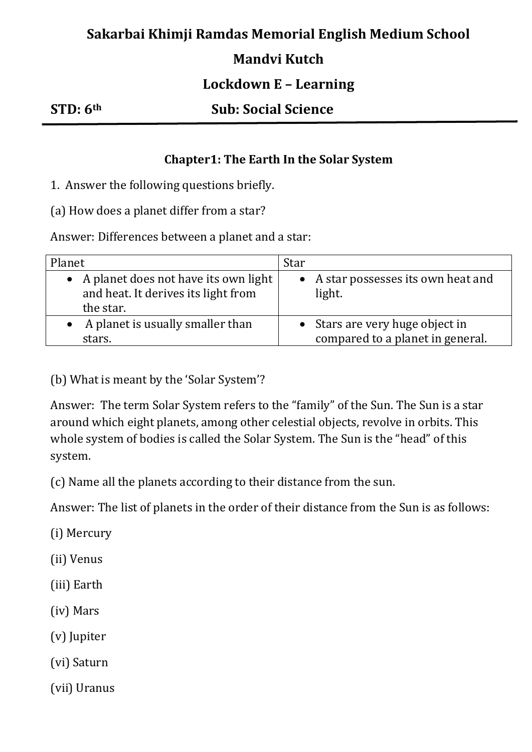## **Sakarbai Khimji Ramdas Memorial English Medium School**

### **Mandvi Kutch**

### **Lockdown E – Learning**

#### **STD: 6th Sub: Social Science**

#### **Chapter1: The Earth In the Solar System**

1. Answer the following questions briefly.

(a) How does a planet differ from a star?

Answer: Differences between a planet and a star:

| Planet                                                                                     | Star                                                                |
|--------------------------------------------------------------------------------------------|---------------------------------------------------------------------|
| • A planet does not have its own light<br>and heat. It derives its light from<br>the star. | • A star possesses its own heat and<br>light.                       |
| $\bullet$ A planet is usually smaller than<br>stars.                                       | • Stars are very huge object in<br>compared to a planet in general. |

(b) What is meant by the 'Solar System'?

Answer: The term Solar System refers to the "family" of the Sun. The Sun is a star around which eight planets, among other celestial objects, revolve in orbits. This whole system of bodies is called the Solar System. The Sun is the "head" of this system.

(c) Name all the planets according to their distance from the sun.

Answer: The list of planets in the order of their distance from the Sun is as follows:

(i) Mercury

(ii) Venus

(iii) Earth

(iv) Mars

(v) Jupiter

(vi) Saturn

(vii) Uranus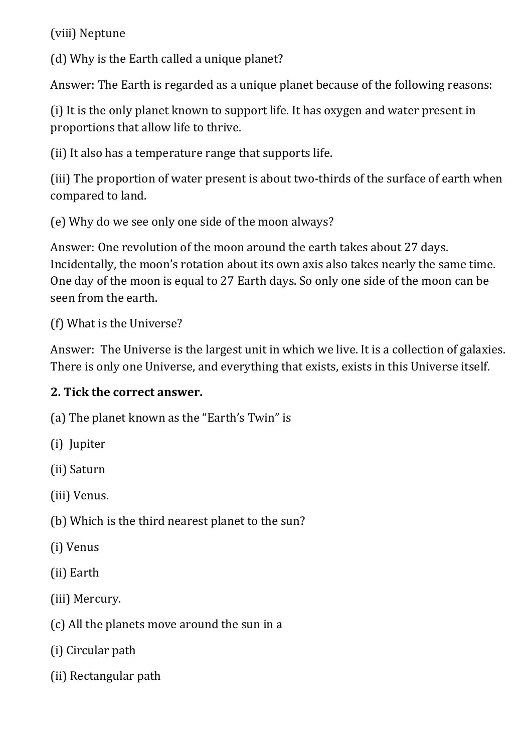(viii) Neptune

(d) Why is the Earth called a unique planet?

Answer: The Earth is regarded as a unique planet because of the following reasons:

(i) It is the only planet known to support life. It has oxygen and water present in proportions that allow life to thrive.

(ii) It also has a temperature range that supports life.

(iii) The proportion of water present is about two-thirds of the surface of earth when compared to land.

(e) Why do we see only one side of the moon always?

Answer: One revolution of the moon around the earth takes about 27 days. Incidentally, the moon's rotation about its own axis also takes nearly the same time. One day of the moon is equal to 27 Earth days. So only one side of the moon can be seen from the earth.

(f) What is the Universe?

Answer: The Universe is the largest unit in which we live. It is a collection of galaxies. There is only one Universe, and everything that exists, exists in this Universe itself.

# **2. Tick the correct answer.**

(a) The planet known as the "Earth's Twin" is

(i) Jupiter

(ii) Saturn

(iii) Venus.

(b) Which is the third nearest planet to the sun?

(i) Venus

(ii) Earth

(iii) Mercury.

(c) All the planets move around the sun in a

(i) Circular path

(ii) Rectangular path